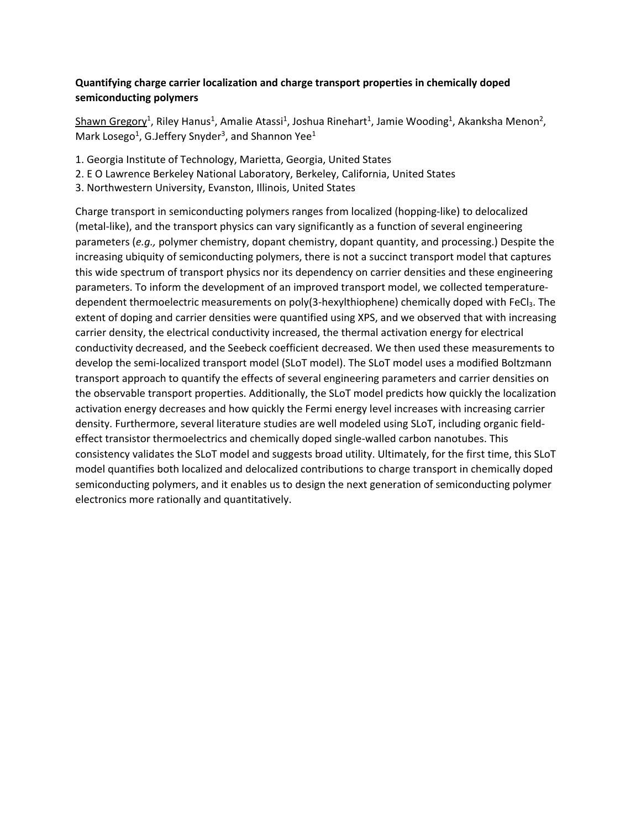## **[Quantifying charge carrier localization and charge transport properties in chemically doped](https://acs.digitellinc.com/acs/live/8/page/18/6?eventSearchInput=&eventSearchDate=0&eventSearchTrack=201&eventSearchTag=0#sessionCollapse40046)  [semiconducting polymers](https://acs.digitellinc.com/acs/live/8/page/18/6?eventSearchInput=&eventSearchDate=0&eventSearchTrack=201&eventSearchTag=0#sessionCollapse40046)**

[Shawn Gregory](https://acs.digitellinc.com/acs/live/8/page/18/6?eventSearchInput=&eventSearchDate=0&eventSearchTrack=201&eventSearchTag=0)<sup>1</sup>, [Riley Hanus](https://acs.digitellinc.com/acs/live/8/page/18/6?eventSearchInput=&eventSearchDate=0&eventSearchTrack=201&eventSearchTag=0)<sup>1</sup>[, Amalie Atass](https://acs.digitellinc.com/acs/live/8/page/18/6?eventSearchInput=&eventSearchDate=0&eventSearchTrack=201&eventSearchTag=0)i<sup>1</sup>[, Joshua Rinehar](https://acs.digitellinc.com/acs/live/8/page/18/6?eventSearchInput=&eventSearchDate=0&eventSearchTrack=201&eventSearchTag=0)t<sup>1</sup>[, Jamie Woodin](https://acs.digitellinc.com/acs/live/8/page/18/6?eventSearchInput=&eventSearchDate=0&eventSearchTrack=201&eventSearchTag=0)g<sup>1</sup>[, Akanksha Menon](https://acs.digitellinc.com/acs/live/8/page/18/6?eventSearchInput=&eventSearchDate=0&eventSearchTrack=201&eventSearchTag=0)<sup>2</sup>, [Mark Lo](https://acs.digitellinc.com/acs/live/8/page/18/6?eventSearchInput=&eventSearchDate=0&eventSearchTrack=201&eventSearchTag=0)sego<sup>1</sup>[, G.Jeffery S](https://acs.digitellinc.com/acs/live/8/page/18/6?eventSearchInput=&eventSearchDate=0&eventSearchTrack=201&eventSearchTag=0)nyder<sup>3</sup>[, and Shann](https://acs.digitellinc.com/acs/live/8/page/18/6?eventSearchInput=&eventSearchDate=0&eventSearchTrack=201&eventSearchTag=0)on Yee<sup>1</sup>

- 1. Georgia Institute of Technology, Marietta, Georgia, United States
- 2. E O Lawrence Berkeley National Laboratory, Berkeley, California, United States
- 3. Northwestern University, Evanston, Illinois, United States

Charge transport in semiconducting polymers ranges from localized (hopping-like) to delocalized (metal-like), and the transport physics can vary significantly as a function of several engineering parameters (*e.g.,* polymer chemistry, dopant chemistry, dopant quantity, and processing.) Despite the increasing ubiquity of semiconducting polymers, there is not a succinct transport model that captures this wide spectrum of transport physics nor its dependency on carrier densities and these engineering parameters. To inform the development of an improved transport model, we collected temperaturedependent thermoelectric measurements on poly(3-hexylthiophene) chemically doped with FeCl3. The extent of doping and carrier densities were quantified using XPS, and we observed that with increasing carrier density, the electrical conductivity increased, the thermal activation energy for electrical conductivity decreased, and the Seebeck coefficient decreased. We then used these measurements to develop the semi-localized transport model (SLoT model). The SLoT model uses a modified Boltzmann transport approach to quantify the effects of several engineering parameters and carrier densities on the observable transport properties. Additionally, the SLoT model predicts how quickly the localization activation energy decreases and how quickly the Fermi energy level increases with increasing carrier density. Furthermore, several literature studies are well modeled using SLoT, including organic fieldeffect transistor thermoelectrics and chemically doped single-walled carbon nanotubes. This consistency validates the SLoT model and suggests broad utility. Ultimately, for the first time, this SLoT model quantifies both localized and delocalized contributions to charge transport in chemically doped semiconducting polymers, and it enables us to design the next generation of semiconducting polymer electronics more rationally and quantitatively.